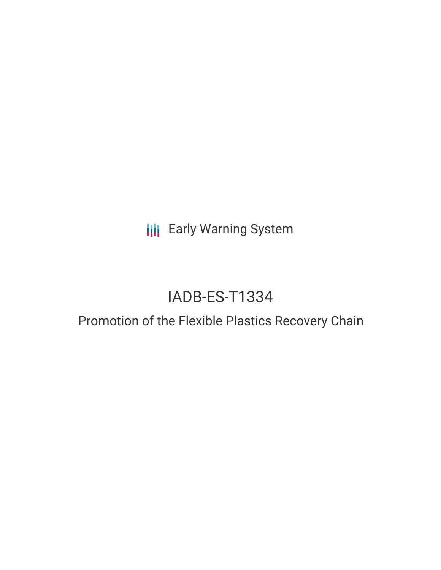**III** Early Warning System

# IADB-ES-T1334

# Promotion of the Flexible Plastics Recovery Chain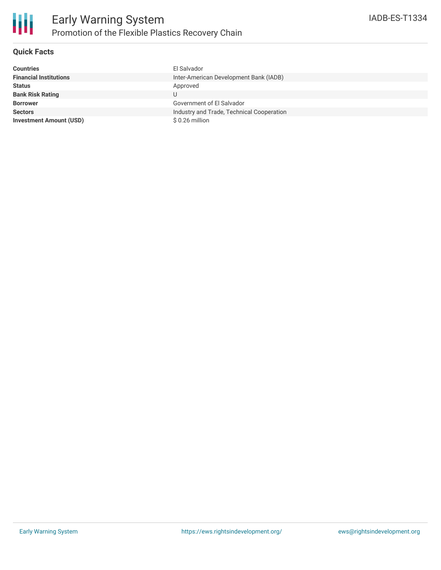

## **Quick Facts**

| <b>Countries</b>               | Fl Salvador                               |
|--------------------------------|-------------------------------------------|
| <b>Financial Institutions</b>  | Inter-American Development Bank (IADB)    |
| <b>Status</b>                  | Approved                                  |
| <b>Bank Risk Rating</b>        | U                                         |
| <b>Borrower</b>                | Government of El Salvador                 |
| <b>Sectors</b>                 | Industry and Trade, Technical Cooperation |
| <b>Investment Amount (USD)</b> | \$0.26 million                            |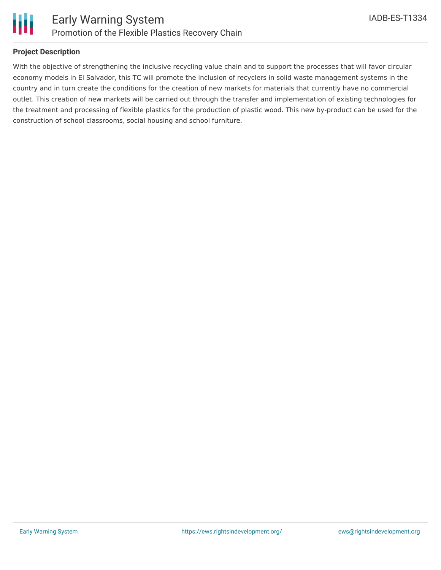



#### **Project Description**

With the objective of strengthening the inclusive recycling value chain and to support the processes that will favor circular economy models in El Salvador, this TC will promote the inclusion of recyclers in solid waste management systems in the country and in turn create the conditions for the creation of new markets for materials that currently have no commercial outlet. This creation of new markets will be carried out through the transfer and implementation of existing technologies for the treatment and processing of flexible plastics for the production of plastic wood. This new by-product can be used for the construction of school classrooms, social housing and school furniture.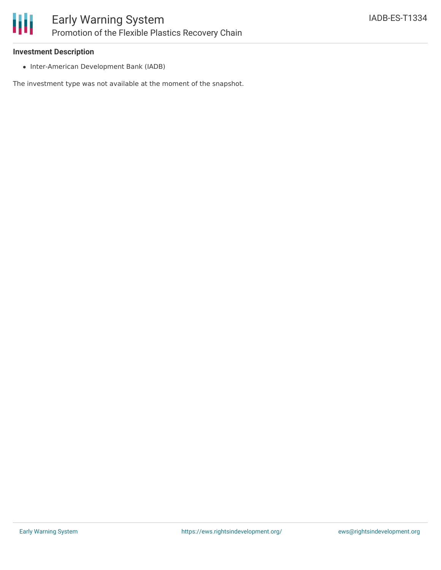

### **Investment Description**

• Inter-American Development Bank (IADB)

The investment type was not available at the moment of the snapshot.